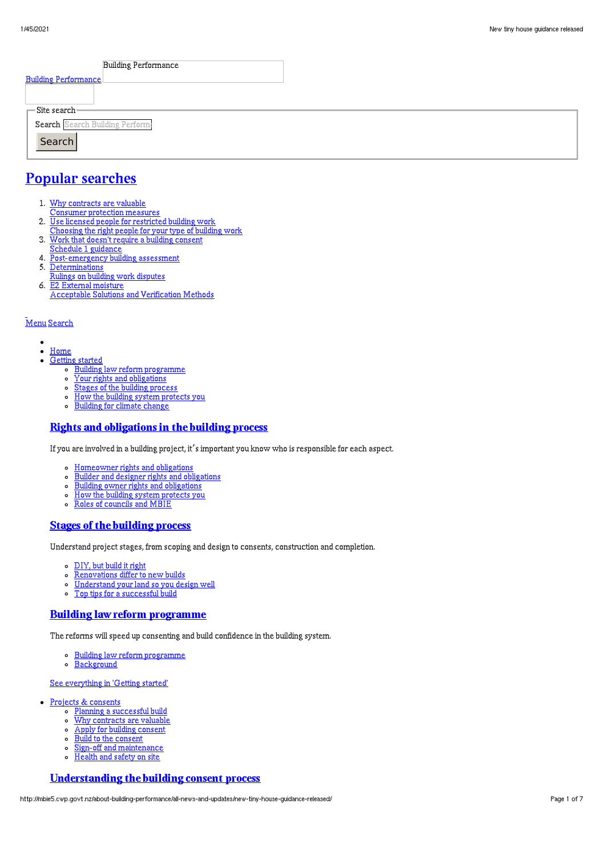| <b>Building Performance</b>                                                              |  |
|------------------------------------------------------------------------------------------|--|
| <b>Building Performance</b>                                                              |  |
|                                                                                          |  |
| $\equiv$ Site search-                                                                    |  |
| Search Search Building Perform:                                                          |  |
| Search                                                                                   |  |
| $\mathbf{D}$ and $\mathbf{D}$ are all $\mathbf{D}$ and $\mathbf{D}$ are all $\mathbf{D}$ |  |

# Popular [searches](http://mbie5.cwp.govt.nz/#)

- 1. Why contracts are valuable
- Consumer protection measures
- 2. Use licensed people for restricted building work
- Choosing the right people for your type of building work
- 3. Work that doesn't require a building consent
- Schedule 1 guidance
- 4. Post-emergency building assessment
- 5. Determinations
- Rulings on building work disputes 6. E2 External moisture
- Acceptable Solutions and Verification Methods

#### [Menu](http://mbie5.cwp.govt.nz/#) [Search](http://mbie5.cwp.govt.nz/#)

- $\bullet$  $\bullet$ [Home](http://mbie5.cwp.govt.nz/)
- [Getting](http://mbie5.cwp.govt.nz/getting-started/) started
	- o Building law reform [programme](http://mbie5.cwp.govt.nz/getting-started/building-law-reforms/)
	- Your rights and [obligations](http://mbie5.cwp.govt.nz/getting-started/your-rights-and-obligations/)
	- Stages of the building [process](http://mbie5.cwp.govt.nz/getting-started/stages-of-the-building-process/)
	- How the building system [protects](http://mbie5.cwp.govt.nz/getting-started/how-the-building-system-protects-you/) you
	- o [Building](http://mbie5.cwp.govt.nz/getting-started/building-for-climate-change/) for climate change

#### Rights and [obligations](http://mbie5.cwp.govt.nz/getting-started/your-rights-and-obligations/) in the building process

If you are involved in a building project, it's important you know who is responsible for each aspect.

- [Homeowner](http://mbie5.cwp.govt.nz/getting-started/your-rights-and-obligations/homeowner-rights-and-obligations/) rights and obligations  $\circ$
- Builder and designer rights and [obligations](http://mbie5.cwp.govt.nz/getting-started/your-rights-and-obligations/builder-and-designer-rights-and-obligations/)  $\circ$
- Building owner rights and [obligations](http://mbie5.cwp.govt.nz/getting-started/your-rights-and-obligations/building-owner-rights-and-obligations/)
- How the building system [protects](http://mbie5.cwp.govt.nz/getting-started/how-the-building-system-protects-you/) you
- $\circ$ Roles of [councils](http://mbie5.cwp.govt.nz/getting-started/how-the-building-system-protects-you/roles-of-councils-and-mbie/) and MBIE

## Stages of the [building](http://mbie5.cwp.govt.nz/getting-started/stages-of-the-building-process/) process

Understand project stages, from scoping and design to consents, construction and completion.

- [DIY,](http://mbie5.cwp.govt.nz/getting-started/stages-of-the-building-process/diy-but-build-it-right/) but build it right
- [Renovations](http://mbie5.cwp.govt.nz/getting-started/stages-of-the-building-process/renovations-differ-to-new-builds/) differ to new builds  $\circ$
- $\circ$ [Understand](http://mbie5.cwp.govt.nz/getting-started/stages-of-the-building-process/understand-your-land/) your land so you design well
- Top tips for a [successful](http://mbie5.cwp.govt.nz/getting-started/stages-of-the-building-process/top-tips-for-building/) build  $\circ$

## Building law reform [programme](http://mbie5.cwp.govt.nz/getting-started/building-law-reforms/)

The reforms will speed up consenting and build confidence in the building system.

- Building law reform [programme](http://mbie5.cwp.govt.nz/getting-started/building-law-reforms/)
- o [Background](http://mbie5.cwp.govt.nz/getting-started/building-law-reforms/background-to-the-building-law-reforms/)

#### See [everything](http://mbie5.cwp.govt.nz/getting-started/) in 'Getting started'

- Projects & [consents](http://mbie5.cwp.govt.nz/projects-and-consents/)
	- o Planning a [successful](http://mbie5.cwp.govt.nz/projects-and-consents/planning-a-successful-build/) build
	- o Why [contracts](http://mbie5.cwp.govt.nz/projects-and-consents/why-contracts-are-valuable/) are valuable
	- $\circ$ Apply for building [consent](http://mbie5.cwp.govt.nz/projects-and-consents/apply-for-building-consent/) Build to the [consent](http://mbie5.cwp.govt.nz/projects-and-consents/build-to-the-consent/)  $\circ$
	- $\circ$
	- Sign-off and [maintenance](http://mbie5.cwp.govt.nz/projects-and-consents/sign-off-and-maintenance/) [Health](http://mbie5.cwp.govt.nz/projects-and-consents/health-and-safety-on-site/) and safety on site
	- $\circ$

# [Understanding](http://mbie5.cwp.govt.nz/projects-and-consents/apply-for-building-consent/building-consent-process/) the building consent process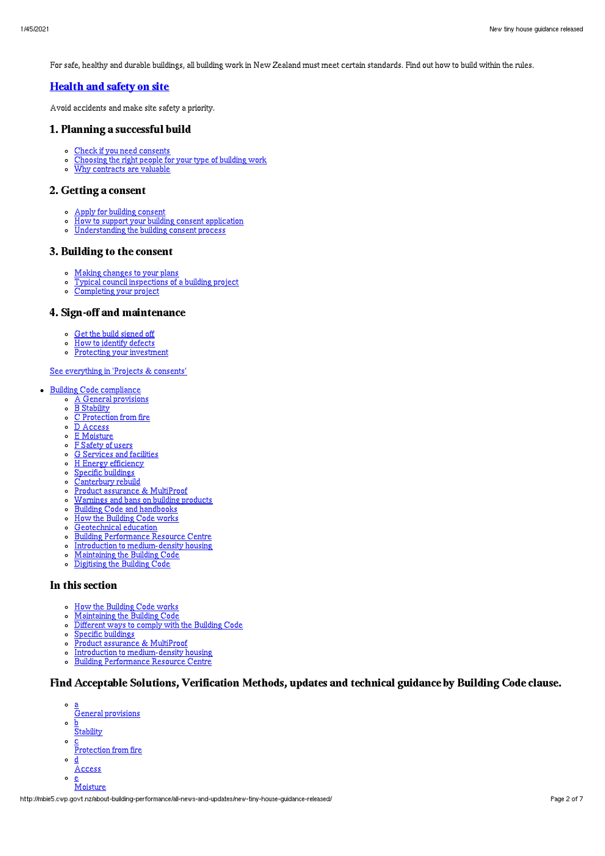For safe, healthy and durable buildings, all building work in New Zealand must meet certain standards. Find out how to build within the rules.

# [Health](http://mbie5.cwp.govt.nz/projects-and-consents/health-and-safety-on-site/) and safety on site

Avoid accidents and make site safety a priority.

## 1. Planning a successful build

- o Check if you need [consents](http://mbie5.cwp.govt.nz/projects-and-consents/planning-a-successful-build/scope-and-design/check-if-you-need-consents/)
- $\circ$ [Choosing](http://mbie5.cwp.govt.nz/projects-and-consents/planning-a-successful-build/scope-and-design/choosing-the-right-people-for-your-type-of-building-work/) the right people for your type of building work
- Why [contracts](http://mbie5.cwp.govt.nz/projects-and-consents/why-contracts-are-valuable/) are valuable  $\overline{a}$

#### 2. Getting a consent

- Apply for building [consent](http://mbie5.cwp.govt.nz/projects-and-consents/apply-for-building-consent/)
- How to support your building consent [application](http://mbie5.cwp.govt.nz/projects-and-consents/apply-for-building-consent/support-your-consent-application/)
- [Understanding](http://mbie5.cwp.govt.nz/projects-and-consents/apply-for-building-consent/building-consent-process/) the building consent process

#### 3. Building to the consent

- Making [changes](http://mbie5.cwp.govt.nz/projects-and-consents/build-to-the-consent/making-changes-to-your-plans/) to your plans
- Typical council [inspections](http://mbie5.cwp.govt.nz/projects-and-consents/build-to-the-consent/typical-council-inspections/) of a building project
- [Completing](http://mbie5.cwp.govt.nz/projects-and-consents/sign-off-and-maintenance/completing-your-project/) your project

# 4. Sign-off and maintenance

- Get the build [signed](http://mbie5.cwp.govt.nz/projects-and-consents/sign-off-and-maintenance/completing-your-project/get-the-build-signed-off/) off
- How to [identify](http://mbie5.cwp.govt.nz/projects-and-consents/sign-off-and-maintenance/completing-your-project/how-to-identify-defects/) defects
- Protecting your [investment](http://mbie5.cwp.govt.nz/projects-and-consents/sign-off-and-maintenance/protecting-your-investment/)  $\circ$

#### See [everything](http://mbie5.cwp.govt.nz/projects-and-consents/) in 'Projects & consents'

- Building Code [compliance](http://mbie5.cwp.govt.nz/building-code-compliance/)
	- A General [provisions](http://mbie5.cwp.govt.nz/building-code-compliance/a-general-provisions/)
	- o B [Stability](http://mbie5.cwp.govt.nz/building-code-compliance/b-stability/)
	- C [Protection](http://mbie5.cwp.govt.nz/building-code-compliance/c-protection-from-fire/) from fire
	- $\circ$ D [Access](http://mbie5.cwp.govt.nz/building-code-compliance/d-access/)
	- E [Moisture](http://mbie5.cwp.govt.nz/building-code-compliance/e-moisture/)  $\circ$
	- F [Safety](http://mbie5.cwp.govt.nz/building-code-compliance/f-safety-of-users/) of users  $\circ$
	- G [Services](http://mbie5.cwp.govt.nz/building-code-compliance/g-services-and-facilities/) and facilities  $\circ$
	- H Energy [efficiency](http://mbie5.cwp.govt.nz/building-code-compliance/h-energy-efficiency/)  $\circ$
	- $\circ$ Specific [buildings](http://mbie5.cwp.govt.nz/building-code-compliance/specific-buildings/)
	- $\circ$ [Canterbury](http://mbie5.cwp.govt.nz/building-code-compliance/canterbury-rebuild/) rebuild
	- Product assurance & [MultiProof](http://mbie5.cwp.govt.nz/building-code-compliance/product-assurance-and-multiproof/)  $\circ$
	- [Warnings](http://mbie5.cwp.govt.nz/building-code-compliance/warnings-and-bans-on-building-products/) and bans on building products  $\circ$
	- Building Code and [handbooks](http://mbie5.cwp.govt.nz/building-code-compliance/building-code-and-handbooks/)  $\circ$
	- $\circ$ How the [Building](http://mbie5.cwp.govt.nz/building-code-compliance/how-the-building-code-works/) Code works
	- $\circ$ [Geotechnical](http://mbie5.cwp.govt.nz/building-code-compliance/geotechnical-education/) education
	- Building [Performance](http://mbie5.cwp.govt.nz/building-code-compliance/building-performance-resource-centre/) Resource Centre  $\circ$
	- Introduction to [medium-density](http://mbie5.cwp.govt.nz/building-code-compliance/introduction-to-medium-density-housing/) housing  $\circ$
	- $\circ$ [Maintaining](http://mbie5.cwp.govt.nz/building-code-compliance/annual-building-code-updates/) the Building Code
	- $\circ$ [Digitising](http://mbie5.cwp.govt.nz/building-code-compliance/digitising-the-building-code/) the Building Code

## In this section

- o How the [Building](http://mbie5.cwp.govt.nz/building-code-compliance/how-the-building-code-works/) Code works
- [Maintaining](http://mbie5.cwp.govt.nz/building-code-compliance/annual-building-code-updates/) the Building Code  $\circ$
- [Different](http://mbie5.cwp.govt.nz/building-code-compliance/how-the-building-code-works/different-ways-to-comply/) ways to comply with the Building Code  $\circ$
- Specific [buildings](http://mbie5.cwp.govt.nz/building-code-compliance/specific-buildings/)  $\circ$
- Product assurance & [MultiProof](http://mbie5.cwp.govt.nz/building-code-compliance/product-assurance-and-multiproof/)  $\sim$
- $\circ$ Introduction to [medium-density](http://mbie5.cwp.govt.nz/building-code-compliance/introduction-to-medium-density-housing/) housing
- $\circ$ Building [Performance](http://mbie5.cwp.govt.nz/building-code-compliance/building-performance-resource-centre/) Resource Centre

# Find Acceptable Solutions, Verification Methods, updates and technical guidance by Building Code clause.

- $\circ$ a General provisions
- $\circ$ b **Stability**
- $\circ$ c
- Protection from fire
- $\circ$ d
- Access  $\sim$  $\bar{\mathrm{M}}$ oisture

http://mbie5.cwp.govt.nz/about-building-performance/all-news-and-updates/new-tiny-house-guidance-released/ Page 2 of 7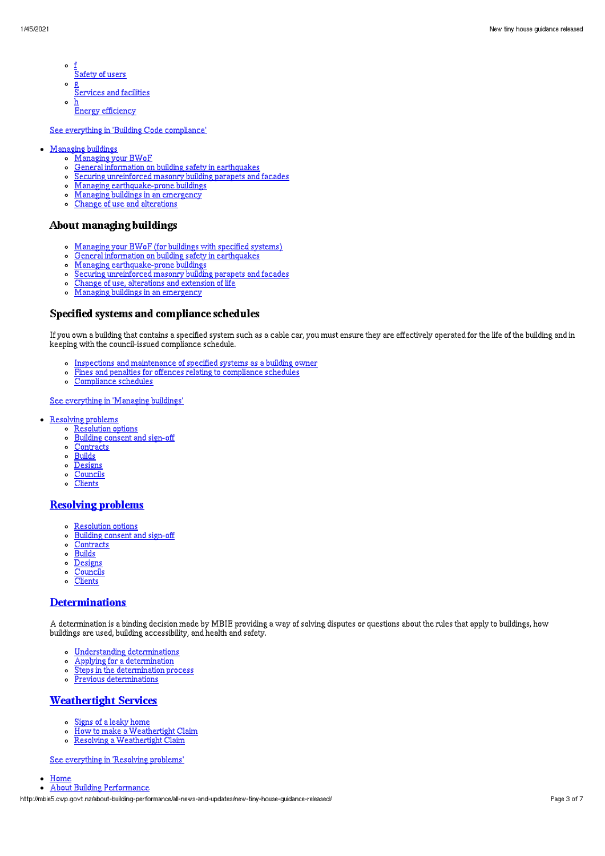- $\circ$ f Safety of users
- $\circ$ g
- **Services** and facilities
- $\circ$ h Energy efficiency

See everything in 'Building Code [compliance](http://mbie5.cwp.govt.nz/building-code-compliance/)'

- [Managing](http://mbie5.cwp.govt.nz/managing-buildings/) buildings  $\bullet$ 
	- [Managing](http://mbie5.cwp.govt.nz/managing-buildings/managing-your-bwof/) your BWoF
	- General information on building safety in [earthquakes](http://mbie5.cwp.govt.nz/managing-buildings/building-safety-in-earthquakes/)  $\sim$
	- Securing [unreinforced](http://mbie5.cwp.govt.nz/managing-buildings/unreinforced-masonry/) masonry building parapets and facades  $\circ$
	- Managing [earthquake-prone](http://mbie5.cwp.govt.nz/managing-buildings/managing-earthquake-prone-buildings/) buildings  $\circ$
	- Managing buildings in an [emergency](http://mbie5.cwp.govt.nz/managing-buildings/managing-buildings-in-an-emergency/)  $\circ$
	- $\circ$ Change of use and [alterations](http://mbie5.cwp.govt.nz/managing-buildings/change-of-use-and-alterations/)

#### About managing buildings

- [Managing](http://mbie5.cwp.govt.nz/managing-buildings/managing-your-bwof/) your BWoF (for buildings with specified systems)
- General information on building safety in [earthquakes](http://mbie5.cwp.govt.nz/managing-buildings/building-safety-in-earthquakes/)  $\circ$
- $\circ$ Managing [earthquake-prone](http://mbie5.cwp.govt.nz/managing-buildings/managing-earthquake-prone-buildings/) buildings
- Securing [unreinforced](http://mbie5.cwp.govt.nz/managing-buildings/unreinforced-masonry/) masonry building parapets and facades
- Change of use, [alterations](http://mbie5.cwp.govt.nz/managing-buildings/change-of-use-and-alterations/) and extension of life
- o Managing buildings in an [emergency](http://mbie5.cwp.govt.nz/managing-buildings/managing-buildings-in-an-emergency/)

#### Specified systems and compliance schedules

If you own a building that contains a specified system such as a cable car, you must ensure they are effectively operated for the life of the building and in keeping with the council-issued compliance schedule.

- Inspections and [maintenance](http://mbie5.cwp.govt.nz/managing-buildings/managing-your-bwof/inspections-and-maintenance/) of specified systems as a building owner
- Fines and penalties for offences relating to [compliance](http://mbie5.cwp.govt.nz/managing-buildings/managing-your-bwof/fines-and-penalties/) schedules
- $\circ$ [Compliance](http://mbie5.cwp.govt.nz/projects-and-consents/sign-off-and-maintenance/completing-your-project/compliance-schedules/) schedules

#### See [everything](http://mbie5.cwp.govt.nz/managing-buildings/) in 'Managing buildings'

- [Resolving](http://mbie5.cwp.govt.nz/resolving-problems/) problems
	- **o** [Resolution](http://mbie5.cwp.govt.nz/resolving-problems/resolution-options/) options
	- [Building](http://mbie5.cwp.govt.nz/resolving-problems/building-consent-and-sign-off/) consent and sign-off
	- o [Contracts](http://mbie5.cwp.govt.nz/resolving-problems/contracts/)
	- [Builds](http://mbie5.cwp.govt.nz/resolving-problems/builds/)
	- o [Designs](http://mbie5.cwp.govt.nz/resolving-problems/designs/)
	- [Councils](http://mbie5.cwp.govt.nz/resolving-problems/councils/)
	- $\circ$ **[Clients](http://mbie5.cwp.govt.nz/resolving-problems/clients/)**

#### [Resolving](http://mbie5.cwp.govt.nz/resolving-problems/) problems

- [Resolution](http://mbie5.cwp.govt.nz/resolving-problems/resolution-options/) options
- [Building](http://mbie5.cwp.govt.nz/resolving-problems/building-consent-and-sign-off/) consent and sign-off  $\circ$
- $\circ$ **[Contracts](http://mbie5.cwp.govt.nz/resolving-problems/contracts/)**
- **[Builds](http://mbie5.cwp.govt.nz/resolving-problems/builds/)**  $\circ$
- [Designs](http://mbie5.cwp.govt.nz/resolving-problems/designs/)  $\circ$
- **[Councils](http://mbie5.cwp.govt.nz/resolving-problems/councils/)**  $\circ$
- $\circ$ **[Clients](http://mbie5.cwp.govt.nz/resolving-problems/clients/)**

#### **[Determinations](http://mbie5.cwp.govt.nz/resolving-problems/resolution-options/determinations/)**

A determination is a binding decision made by MBIE providing a way of solving disputes or questions about the rules that apply to buildings, how buildings are used, building accessibility, and health and safety.

- Understanding [determinations](http://mbie5.cwp.govt.nz/resolving-problems/resolution-options/determinations/)
- Applying for a [determination](http://mbie5.cwp.govt.nz/resolving-problems/resolution-options/determinations/applying-for-a-determination/)  $\circ$
- $\circ$ Steps in the [determination](http://mbie5.cwp.govt.nz/resolving-problems/resolution-options/determinations/steps-in-the-determination-process/) process
- Previous [determinations](http://mbie5.cwp.govt.nz/resolving-problems/resolution-options/determinations/determinations-issued/)  $\circ$

## **[Weathertight](http://mbie5.cwp.govt.nz/resolving-problems/resolution-options/weathertight-services/) Services**

- Signs of a leaky [home](http://mbie5.cwp.govt.nz/resolving-problems/resolution-options/weathertight-services/signs-of-a-leaky-home/)
- How to make a [Weathertight](http://mbie5.cwp.govt.nz/resolving-problems/resolution-options/weathertight-services/make-a-weathertight-home-claim/) Claim  $\circ$
- $\circ$ Resolving a [Weathertight](http://mbie5.cwp.govt.nz/resolving-problems/resolution-options/weathertight-services/resolving-a-claim/) Claim

See [everything](http://mbie5.cwp.govt.nz/resolving-problems/) in 'Resolving problems'

- $\bullet$ [Home](http://mbie5.cwp.govt.nz/)
- About Building [Performance](http://mbie5.cwp.govt.nz/about-building-performance/)

http://mbie5.cwp.govt.nz/about-building-performance/all-news-and-updates/new-tiny-house-guidance-released/ Page 3 of 7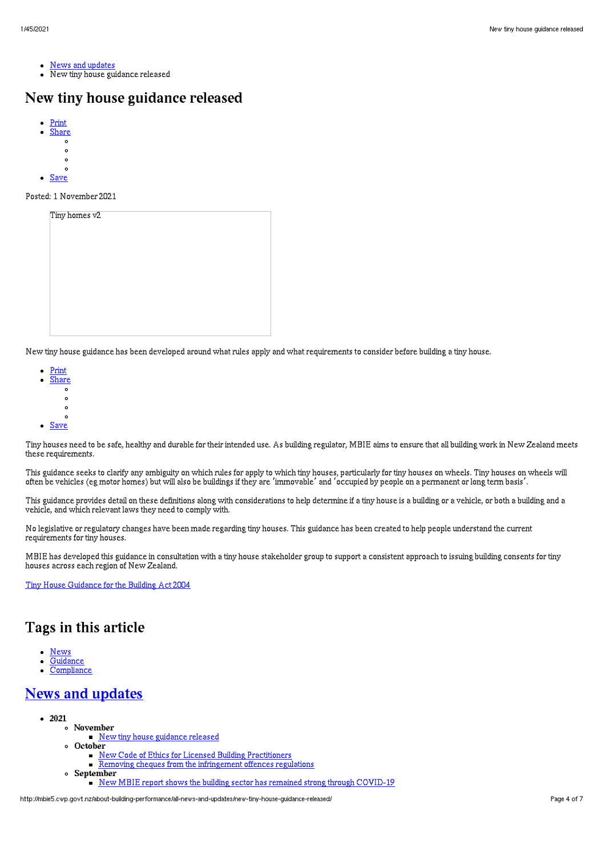- News and [updates](http://mbie5.cwp.govt.nz/about-building-performance/all-news-and-updates/)
- New tiny house guidance released

# New tiny house guidance released

- [Print](http://mbie5.cwp.govt.nz/#) [Share](http://mbie5.cwp.govt.nz/#)
- $\circ$ 
	- $\circ$
	- $\circ$
- 
- $\bullet$  [Save](http://mbie5.cwp.govt.nz/about-building-performance/all-news-and-updates/new-tiny-house-guidance-released/downloadpdf)

#### Posted: 1 November 2021

| Tiny homes v2 |  |  |  |
|---------------|--|--|--|
|               |  |  |  |
|               |  |  |  |
|               |  |  |  |
|               |  |  |  |
|               |  |  |  |
|               |  |  |  |

New tiny house guidance has been developed around what rules apply and what requirements to consider before building a tiny house.

- [Print](http://mbie5.cwp.govt.nz/#) [Share](http://mbie5.cwp.govt.nz/#)
	- $\circ$
	- $\circ$
	- $\circ$
	- $\circ$
- [Save](http://mbie5.cwp.govt.nz/about-building-performance/all-news-and-updates/new-tiny-house-guidance-released/downloadpdf)

Tiny houses need to be safe, healthy and durable for their intended use. As building regulator, MBIE aims to ensure that all building work in New Zealand meets these requirements.

This guidance seeks to clarify any ambiguity on which rules for apply to which tiny houses, particularly for tiny houses on wheels. Tiny houses on wheels will often be vehicles (eg motor homes) but will also be buildings if they are 'immovable' and 'occupied by people on a permanent or long term basis'.

This guidance provides detail on these definitions along with considerations to help determine if a tiny house is a building or a vehicle, or both a building and a vehicle, and which relevant laws they need to comply with.

No legislative or regulatory changes have been made regarding tiny houses. This guidance has been created to help people understand the current requirements for tiny houses.

MBIE has developed this guidance in consultation with a tiny house stakeholder group to support a consistent approach to issuing building consents for tiny houses across each region of New Zealand.

Tiny House [Guidance](http://mbie5.cwp.govt.nz/assets/Uploads/getting-started/tiny-houses/tiny-houses-guidance-mbie.pdf) for the Building Act 2004

# Tags in this article

- [News](http://mbie5.cwp.govt.nz/about-building-performance/all-news-and-updates/?category%255B0%255D=news)
- **[Guidance](http://mbie5.cwp.govt.nz/about-building-performance/all-news-and-updates/?topic=guidance)**
- **[Compliance](http://mbie5.cwp.govt.nz/about-building-performance/all-news-and-updates/?topic=compliance)**

# News and [updates](http://mbie5.cwp.govt.nz/about-building-performance/all-news-and-updates/)

- $2021$ 
	- November New tiny house [guidance](http://mbie5.cwp.govt.nz/about-building-performance/all-news-and-updates/new-tiny-house-guidance-released/) released
	- October
		- New Code of Ethics for Licensed Building [Practitioners](http://mbie5.cwp.govt.nz/about-building-performance/all-news-and-updates/new-code-of-ethics-for-licensed-building-practitioners/)
		- **Removing cheques from the [infringement](http://mbie5.cwp.govt.nz/about-building-performance/all-news-and-updates/removing-cheques-from-the-infringement-offences-regulations/) offences regulations**
	- September New MBIE report shows the building sector has remained strong through [COVID-19](http://mbie5.cwp.govt.nz/about-building-performance/all-news-and-updates/new-mbie-report-shows-the-building-sector-has-remained-strong-through-covid-19/)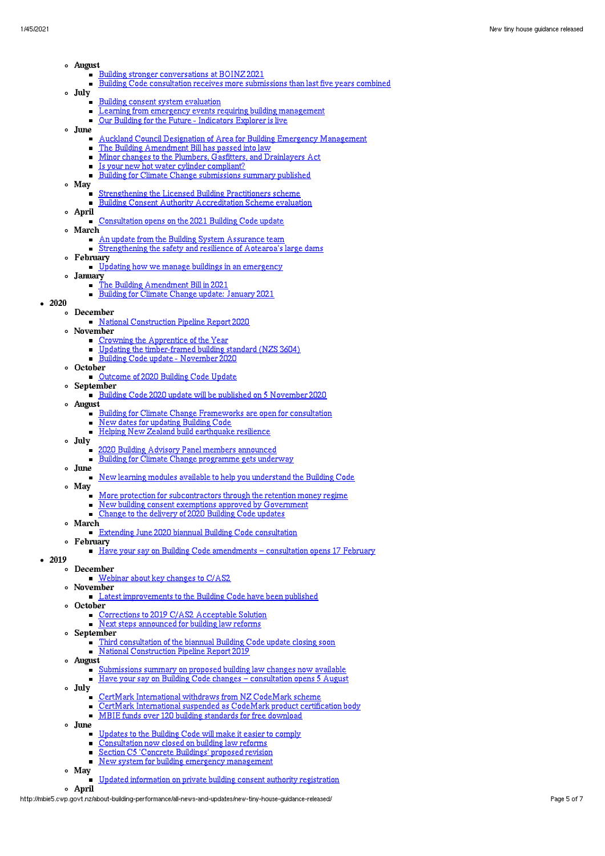- Au gu s
- t<br><u>Building stronger conversations at BOI[N](http://mbie5.cwp.govt.nz/about-building-performance/all-news-and-updates/building-stronger-conversations-at-boinz-2021/)Z 2021</u>
	- $\blacksquare$ Building Code consultation receives more submissions than last five years co[mb](http://mbie5.cwp.govt.nz/about-building-performance/all-news-and-updates/building-code-consultation-receives-more-submissions-than-last-five-years-combined/)ined
- J u l y
	- Building consent syst[em](http://mbie5.cwp.govt.nz/about-building-performance/all-news-and-updates/building-consent-system-evaluation/) evaluation
		- Le[ar](http://mbie5.cwp.govt.nz/about-building-performance/all-news-and-updates/learning-from-emergency-events-requiring-building-management/)ning from emergency events requiring building management
		- $\blacksquare$ Our Building for [th](http://mbie5.cwp.govt.nz/about-building-performance/all-news-and-updates/our-building-for-the-future-indicators-explorer-is-live/)e Future - Indicators Explorer is live
- June
	- Auckl[an](http://mbie5.cwp.govt.nz/about-building-performance/all-news-and-updates/auckland-council-designation-of-area-for-building-emergency-management/)d Council Designation of Area for Building Emergency Management
	- The Building Amen[dm](http://mbie5.cwp.govt.nz/about-building-performance/all-news-and-updates/the-building-amendment-bill-has-passed-into-law/)ent Bill has passed into law
	- Minor changes to the Plu[mb](http://mbie5.cwp.govt.nz/about-building-performance/all-news-and-updates/minor-changes-to-the-plumbers-gasfitters-and-drainlayers-act/)ers, Gasfitters, and Drainlayers Act
	- Is your new hot water cylinder co[mp](http://mbie5.cwp.govt.nz/about-building-performance/all-news-and-updates/considering-a-new-hot-water-cylinder-check-it-is-compliant/)liant?
	- Building for Climate Change submissions su[mm](http://mbie5.cwp.govt.nz/about-building-performance/all-news-and-updates/building-for-climate-change-submissions-summary-has-been-published/)ary published  $\blacksquare$
- M ay
	- Strengthening the Licensed Building Pra[cti](http://mbie5.cwp.govt.nz/about-building-performance/all-news-and-updates/strengthening-the-licensed-building-practitioners-scheme/)tioners scheme
	- Building Consent A[uth](http://mbie5.cwp.govt.nz/about-building-performance/all-news-and-updates/building-consent-authority-accreditation-scheme-evaluation/)ority Accreditation Scheme evaluation
- A p ril
	- Consultation op[en](http://mbie5.cwp.govt.nz/about-building-performance/all-news-and-updates/consultation-opens-on-the-2021-building-code-update/)s on the 2021 Building Code update
	- M arc h
		- An update from [th](http://mbie5.cwp.govt.nz/about-building-performance/all-news-and-updates/an-update-from-the-building-system-assurance-team/)e Building System Assurance team
	- Strengthening the safety and resilience of Aotearo[a's](http://mbie5.cwp.govt.nz/about-building-performance/all-news-and-updates/strengthening-the-safety-and-resilience-of-aotearoas-large-dams/) large dams
- February
- [Upd](http://mbie5.cwp.govt.nz/about-building-performance/all-news-and-updates/updating-how-we-manage-buildings-in-an-emergency/)ating how we manage buildings in an emergency
- Januar
- ry<br>The Building Amen[dm](http://mbie5.cwp.govt.nz/about-building-performance/all-news-and-updates/building-law-reform/)ent Bill in 2021
	- Building for Climate Change updat[e:](http://mbie5.cwp.govt.nz/about-building-performance/all-news-and-updates/building-for-climate-change-update/) January 2021
- 2 0 2 0
	- D e c e m b e r
		- [N](http://mbie5.cwp.govt.nz/about-building-performance/all-news-and-updates/national-construction-pipeline-report-2020/)ational Construction Pipeline Report 2020
		- N o v e m b e r
			- Cro[wn](http://mbie5.cwp.govt.nz/about-building-performance/all-news-and-updates/crowning-the-apprentice-of-the-year/)ing the Apprentice of the Year
			- Updating the ti[mb](http://mbie5.cwp.govt.nz/about-building-performance/all-news-and-updates/updating-the-timber-framed-building-standard-nzs3604/)er-framed building standard (NZS 3604)
			- <u>Building Code update Nov[emb](http://mbie5.cwp.govt.nz/about-building-performance/all-news-and-updates/building-code-update-november-2020/)er 2020</u>
		- **October**
- er<br><u>Outcome of 2020 Building Code Update</u>
	- S e p t e m b e r
		- Building Code 2020 update will be published on 5 Nove[mb](http://mbie5.cwp.govt.nz/about-building-performance/all-news-and-updates/building-code-2020-update-will-be-published-on-5-november-2020/)er 2020
	- Au gu s
		- t<br><u>Building for Cli[m](http://mbie5.cwp.govt.nz/about-building-performance/all-news-and-updates/the-first-two-building-for-climate-change-frameworks-are-open-for-consultation/)ate Change Frameworks are open for consultation</u>
		- $\blacksquare$ [N](http://mbie5.cwp.govt.nz/about-building-performance/all-news-and-updates/new-dates-for-updating-building-code/)ew dates for updating Building Code
		- $\blacksquare$ <u>Helping New Zealand build ear[th](http://mbie5.cwp.govt.nz/about-building-performance/all-news-and-updates/helping-new-zealand-build-earthquake-resilience/)quake resilience</u>
	- J u l y
		- $\blacksquare$ 2020 Building Advisory Panel me[mb](http://mbie5.cwp.govt.nz/about-building-performance/all-news-and-updates/2020-building-advisory-panel-members-announced/)ers announced
		- Building for Climate Change progra[mm](http://mbie5.cwp.govt.nz/about-building-performance/all-news-and-updates/building-for-climate-change-programme-gets-underway/)e gets underway
	- June
	- New learning modules available to help you understand [th](http://mbie5.cwp.govt.nz/about-building-performance/all-news-and-updates/new-learning-modules-available-to-help-you-understand-the-building-code/)e Building Code
	- M ay
		- More protection for subco[ntr](http://mbie5.cwp.govt.nz/about-building-performance/all-news-and-updates/subcontractors-protection-with-retention-money-regime/)actors through the retention money regime
		- New building consent exe[mp](http://mbie5.cwp.govt.nz/about-building-performance/all-news-and-updates/new-building-consent-exemptions-approved-by-government/)tions approved by Government
		- Ch[an](http://mbie5.cwp.govt.nz/about-building-performance/all-news-and-updates/change-to-the-delivery-of-2020-building-code-updates/)ge to the delivery of 2020 Building Code updates
	- M arc h
		- Extending June 2020 biannu[al](http://mbie5.cwp.govt.nz/about-building-performance/all-news-and-updates/extending-june-2020-biannual-building-code-consultation/) Building Code consultation
	- February
	- [Hav](http://mbie5.cwp.govt.nz/about-building-performance/all-news-and-updates/have-your-say-on-building-code-amendments-consultation-opens-17-february/)e your say on Building Code amendments consultation opens 17 February
- 2019
	- D e c e m b e r
		- Webinar about key changes to C[/A](http://mbie5.cwp.govt.nz/about-building-performance/all-news-and-updates/key-changes-to-cas2-webinar/)S2
	- N o v e m b e r
	- Latest i[mp](http://mbie5.cwp.govt.nz/about-building-performance/all-news-and-updates/latest-improvements-to-the-building-code-have-been-published/)rovements to the Building Code have been published **October**
	- er<br>Corrections to 2019 C/AS2 Acceptable Solution
	- Next steps [an](http://mbie5.cwp.govt.nz/about-building-performance/all-news-and-updates/next-steps-announced-for-building-law-reforms/)nounced for building law reforms
	- S e p t e m b e r
		- Third consultation of the biannual Building Code update closing soon
		- [N](http://mbie5.cwp.govt.nz/about-building-performance/all-news-and-updates/national-construction-pipeline-report-2019/)ational Construction Pipeline Report 2019
	- Au gu s
		- t<br><u>Submissions su[mm](http://mbie5.cwp.govt.nz/about-building-performance/all-news-and-updates/submissions-summary-on-proposed-building-law-changes-now-available/)ary on proposed building law changes now available</u>
		- Have your s[ay](http://mbie5.cwp.govt.nz/about-building-performance/all-news-and-updates/building-code-changes-consultation-opens-5-august/) on Building Code changes consultation opens 5 August
	- J u l y
		- $\blacksquare$ CertMark International withdraws from NZ CodeMark scheme
		- $\blacksquare$ Cert[M](http://mbie5.cwp.govt.nz/about-building-performance/all-news-and-updates/certmark-international-suspended-as-codemark-product-certification-body/)ark International suspended as CodeMark product certification body
		- $\blacksquare$ MBIE funds over 120 building standards for free do[wn](http://mbie5.cwp.govt.nz/about-building-performance/all-news-and-updates/mbie-funds-over-120-building-standards-for-free-download/)load
	- June
		- Updates to the Building Code will make it easier to co[mp](http://mbie5.cwp.govt.nz/about-building-performance/all-news-and-updates/updates-to-the-building-code-will-make-it-easier-to-comply/)ly
		- Consultation no[w](http://mbie5.cwp.govt.nz/about-building-performance/all-news-and-updates/consultation-now-closed-on-building-law-reforms/) closed on building law reforms
		- $\blacksquare$ Se[cti](http://mbie5.cwp.govt.nz/about-building-performance/all-news-and-updates/section-c5-concrete-buildings-proposed-revision/)on C5 'Concrete Buildings' proposed revision
		- New syst[em](http://mbie5.cwp.govt.nz/about-building-performance/all-news-and-updates/new-system-for-building-emergency-management/) for building emergency management
	- M ay
		- Updated inform[ati](http://mbie5.cwp.govt.nz/about-building-performance/all-news-and-updates/updated-information-on-private-building-consent-authority-registration/)on on private building consent authority registration
	- A p ril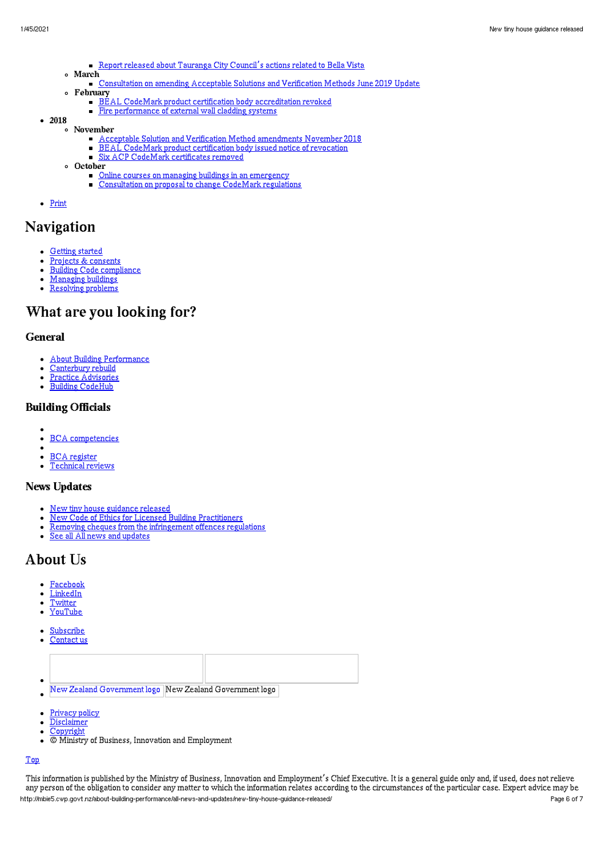- Report released about [Tauranga](http://mbie5.cwp.govt.nz/about-building-performance/all-news-and-updates/report-released-about-tauranga-city-councils-actions-related-to-bella-vista/) City Council's actions related to Bella Vista
- March
	- [Consultation](http://mbie5.cwp.govt.nz/about-building-performance/all-news-and-updates/consultation-on-amending-acceptable-solutions-and-verification-methods-june-2019-update/) on amending Acceptable Solutions and Verification Methods June 2019 Update
- February
	- **BEAL CodeMark product certification body [accreditation](http://mbie5.cwp.govt.nz/about-building-performance/all-news-and-updates/bc-update-245/) revoked**
	- Fire [performance](http://mbie5.cwp.govt.nz/about-building-performance/all-news-and-updates/bc-update-244/) of external wall cladding systems
- $-2018$
- November
	- Acceptable Solution and Verification Method [amendments](http://mbie5.cwp.govt.nz/about-building-performance/all-news-and-updates/bc-update-243/) November 2018
	- $\blacksquare$ BEAL CodeMark product [certification](http://mbie5.cwp.govt.nz/about-building-performance/all-news-and-updates/bc-update-2/) body issued notice of revocation
	- Six ACP CodeMark [certificates](http://mbie5.cwp.govt.nz/about-building-performance/all-news-and-updates/bc-update-241/) removed
	- October
		- Online courses on managing buildings in an [emergency](http://mbie5.cwp.govt.nz/about-building-performance/all-news-and-updates/bc-update-240/)
		- **[Consultation](http://mbie5.cwp.govt.nz/about-building-performance/all-news-and-updates/mbie-consulting-on-proposal-to-change-codemark-regulations/) on proposal to change CodeMark regulations**
- [Print](http://mbie5.cwp.govt.nz/#)

# Navigation

- [Getting](http://mbie5.cwp.govt.nz/getting-started/) started
- Projects & [consents](http://mbie5.cwp.govt.nz/projects-and-consents/)  $\bullet$  $\bullet$
- Building Code [compliance](http://mbie5.cwp.govt.nz/building-code-compliance/) [Managing](http://mbie5.cwp.govt.nz/managing-buildings/) buildings
- [Resolving](http://mbie5.cwp.govt.nz/resolving-problems/) problems

# What are you looking for?

## General

- About Building [Performance](http://mbie5.cwp.govt.nz/about-building-performance/)
- [Canterbury](http://mbie5.cwp.govt.nz/building-code-compliance/canterbury-rebuild/) rebuild
- Practice [Advisories](http://mbie5.cwp.govt.nz/search/?keyword=practice+advisory&search=)  $\bullet$
- Building [CodeHub](https://codehub.building.govt.nz)

## Building Officials

- BCA [competencies](http://mbie5.cwp.govt.nz/building-officials/national-bca-competency-assessment-system/)  $\bullet$
- BCA [register](http://mbie5.cwp.govt.nz/building-officials/find-a-bca/)
- [Technical](http://mbie5.cwp.govt.nz/building-officials/technical-reviews/) reviews

## News Updates

- New tiny house [guidance](http://mbie5.cwp.govt.nz/about-building-performance/all-news-and-updates/new-tiny-house-guidance-released/) released  $\bullet$
- $\bullet$ New Code of Ethics for Licensed Building [Practitioners](http://mbie5.cwp.govt.nz/about-building-performance/all-news-and-updates/new-code-of-ethics-for-licensed-building-practitioners/)
- Removing cheques from the [infringement](http://mbie5.cwp.govt.nz/about-building-performance/all-news-and-updates/removing-cheques-from-the-infringement-offences-regulations/) offences regulations
- See all All news and [updates](http://mbie5.cwp.govt.nz/about-building-performance/all-news-and-updates/)

# About Us

- $\bullet$ [Facebook](https://www.facebook.com/MBIEgovtNZ)
- [LinkedIn](https://www.linkedin.com/company/ministry-of-business-innovation-and-employment)  $\bullet$
- [Twitter](https://twitter.com/mbiegovtnz)  $\bullet$ [YouTube](https://www.youtube.com/user/dbhnewzealand)  $\bullet$
- 
- [Subscribe](https://confirmsubscription.com/h/r/7BC65D75D18899C62540EF23F30FEDED)
- [Contact](http://mbie5.cwp.govt.nz/about-building-performance/contact-us/) us  $\bullet$



- [Privacy](http://mbie5.cwp.govt.nz/about-building-performance/privacy-policy/) policy  $\bullet$
- [Disclaimer](http://mbie5.cwp.govt.nz/about-building-performance/disclaimer/)  $\bullet$
- Convright  $\bullet$
- $\bullet$ © Ministry of Business, Innovation and Employment

#### [Top](http://mbie5.cwp.govt.nz/#top)

This information is published by the Ministry of Business, Innovation and Employment's Chief Executive. It is a general guide only and, if used, does not relieve any person of the obligation to consider any matter to which the information relates according to the circumstances of the particular case. Expert advice may be http://mbie5.cwp.govt.nz/about-building-performance/all-news-and-updates/new-tiny-house-guidance-released/ Page 6 of 7